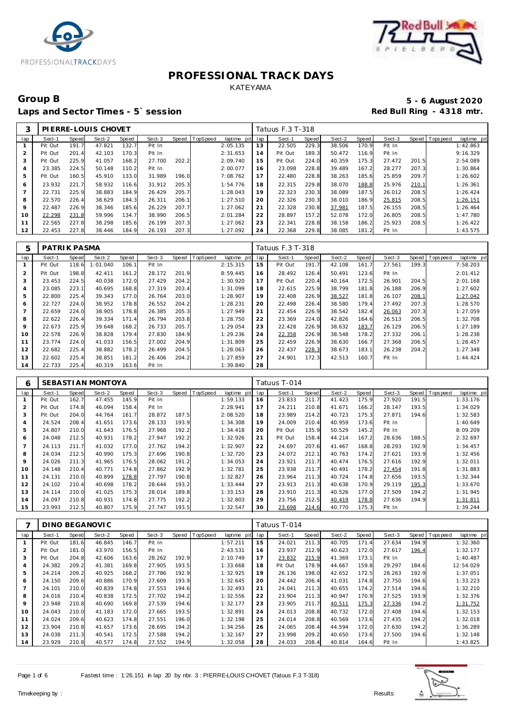



### Group B<br> **Example 2020**<br>
Laps and Sector Times - 5`session<br>
Laps and Sector Times - 5`session Laps and Sector Times - 5' session

| 3              |         |       | PIERRE-LOUIS CHOVET |       |        |       |          |                 |    | Tatuus F.3 T-318 |       |        |       |        |       |                   |             |
|----------------|---------|-------|---------------------|-------|--------|-------|----------|-----------------|----|------------------|-------|--------|-------|--------|-------|-------------------|-------------|
| lap            | Sect-1  | Speed | Sect-2              | Speed | Sect-3 | Speed | TopSpeed | laptime pit lap |    | Sect-1           | Speed | Sect-2 | Speed | Sect-3 |       | Speed   Tops peed | laptime pit |
|                | Pit Out | 191.7 | 47.821              | 132.7 | Pit In |       |          | 2:05.135        | 13 | 22.505           | 229.3 | 38.506 | 170.9 | Pit In |       |                   | 1:42.863    |
|                | Pit Out | 201.4 | 42.103              | 170.3 | Pit In |       |          | 2:31.653        | 14 | Pit Out          | 189.3 | 50.472 | 116.9 | Pit In |       |                   | 9:16.329    |
| 3              | Pit Out | 225.9 | 41.057              | 168.2 | 27.700 | 202.2 |          | 2:09.740        | 15 | Pit Out          | 224.0 | 40.359 | 175.3 | 27.472 | 201.5 |                   | 2:54.089    |
| $\overline{4}$ | 23.385  | 224.5 | 50.148              | 110.2 | Pit In |       |          | 2:00.077        | 16 | 23.098           | 228.8 | 39.489 | 167.2 | 28.277 | 207.3 |                   | 1:30.864    |
| 5              | Pit Out | 160.5 | 45.910              | 133.0 | 31.989 | 196.0 |          | 7:08.762        | 17 | 22.480           | 228.8 | 38.263 | 185.6 | 25.859 | 209.7 |                   | 1:26.602    |
| 6              | 23.932  | 221.7 | 58.932              | 116.6 | 31.912 | 205.3 |          | 1:54.776        | 18 | 22.315           | 229.8 | 38.070 | 188.8 | 25.976 | 210.1 |                   | 1:26.361    |
|                | 22.731  | 225.9 | 38.883              | 184.9 | 26.429 | 205.7 |          | 1:28.043        | 19 | 22.323           | 230.3 | 38.089 | 187.5 | 26.012 | 208.5 |                   | 1:26.424    |
| 8              | 22.570  | 226.4 | 38.629              | 184.3 | 26.311 | 206.1 |          | 1:27.510        | 20 | 22.326           | 230.3 | 38.010 | 186.9 | 25.815 | 208.5 |                   | 1:26.151    |
| 9              | 22.487  | 226.9 | 38.346              | 185.6 | 26.229 | 207.7 |          | 1:27.062        | 21 | 22.328           | 230.8 | 37.981 | 187.5 | 26.155 | 208.5 |                   | 1:26.464    |
| 10             | 22.298  | 231.8 | 59.996              | 134.7 | 38.990 | 206.5 |          | 2:01.284        | 22 | 28.897           | 157.2 | 52.078 | 172.0 | 26.805 | 208.5 |                   | 1:47.780    |
| 11             | 22.565  | 227.8 | 38.298              | 185.6 | 26.199 | 207.3 |          | 1:27.062        | 23 | 22.341           | 228.8 | 38.158 | 186.2 | 25.923 | 208.5 |                   | 1:26.422    |
| 12             | 22.453  | 227.8 | 38.446              | 184.9 | 26.193 | 207.3 |          | 1:27.092        | 24 | 22.368           | 229.8 | 38.085 | 181.2 | Pit In |       |                   | 1:43.575    |

| 5   | PATRIK PASMA |              |          |       |        |       |          |                |     | Tatuus F.3 T-318 |       |        |       |        |       |          |             |
|-----|--------------|--------------|----------|-------|--------|-------|----------|----------------|-----|------------------|-------|--------|-------|--------|-------|----------|-------------|
| lap | Sect-1       | <b>Speed</b> | Sect-2   | Speed | Sect-3 | Speed | TopSpeed | laptime<br>pit | lap | Sect-1           | Speed | Sect-2 | Speed | Sect-3 | Speed | Topspeed | laptime pit |
|     | Pit Out      | 118.6        | 1:01.040 | 106.1 | Pit In |       |          | 2:15.315       | 15  | Pit Out          | 191.7 | 42.108 | 161.7 | 27.561 | 199.3 |          | 7:58.203    |
| 2   | Pit Out      | 198.8        | 42.411   | 161.2 | 28.172 | 201.9 |          | 8:59.445       | 16  | 28.492           | 126.4 | 50.491 | 123.6 | Pit In |       |          | 2:01.412    |
| 3   | 23.453       | 224.5        | 40.038   | 172.0 | 27.429 | 204.2 |          | 1:30.920       | 17  | Pit Out          | 220.4 | 40.164 | 172.5 | 26.901 | 204.5 |          | 2:01.168    |
| 4   | 23.085       | 223.1        | 40.695   | 168.8 | 27.319 | 203.4 |          | 1:31.099       | 18  | 22.615           | 225.9 | 38.799 | 181.8 | 26.188 | 206.9 |          | 1:27.602    |
| 5   | 22.800       | 225.4        | 39.343   | 177.0 | 26.764 | 203.0 |          | 1:28.907       | 19  | 22.408           | 226.9 | 38.527 | 181.8 | 26.107 | 208.1 |          | 1:27.042    |
| 6   | 22.727       | 224.0        | 38.952   | 178.8 | 26.552 | 204.2 |          | 1:28.231       | 20  | 22.498           | 226.4 | 38.580 | 179.4 | 27.492 | 207.3 |          | 1:28.570    |
|     | 22.659       | 224.0        | 38.905   | 178.8 | 26.385 | 205.3 |          | 1:27.949       | 21  | 22.454           | 226.9 | 38.542 | 182.4 | 26.063 | 207.3 |          | 1:27.059    |
| 8   | 22.622       | 226.4        | 39.334   | 171.4 | 26.794 | 203.8 |          | 1:28.750       | 22  | 23.369           | 224.0 | 42.826 | 164.6 | 26.513 | 206.5 |          | 1:32.708    |
| 9   | 22.673       | 225.9        | 39.648   | 168.2 | 26.733 | 205.7 |          | 1:29.054       | 23  | 22.428           | 226.9 | 38.632 | 183.7 | 26.129 | 206.5 |          | 1:27.189    |
| 10  | 22.578       | 226.9        | 38.828   | 179.4 | 27.830 | 184.9 |          | 1:29.236       | 24  | 22.358           | 226.9 | 38.548 | 178.2 | 27.332 | 206.1 |          | 1:28.238    |
| 11  | 23.774       | 224.0        | 41.033   | 156.5 | 27.002 | 204.9 |          | 1:31.809       | 25  | 22.459           | 226.9 | 38.630 | 166.7 | 27.368 | 206.5 |          | 1:28.457    |
| 12  | 22.682       | 225.4        | 38.882   | 178.2 | 26.499 | 204.5 |          | 1:28.063       | 26  | 22.437           | 228.3 | 38.673 | 183.1 | 26.238 | 204.2 |          | 1:27.348    |
| 13  | 22.602       | 225.4        | 38.851   | 181.2 | 26.406 | 204.2 |          | 1:27.859       | 27  | 24.901           | 172.3 | 42.513 | 160.7 | Pit In |       |          | 1:44.424    |
| 14  | 22.733       | 225.4        | 40.319   | 163.6 | Pit In |       |          | 1:39.840       | 28  |                  |       |        |       |        |       |          |             |

| 6              |         |       | SEBASTIAN MONTOYA |       |        |       |                 |             |     | Tatuus T-014 |       |        |       |        |       |             |             |
|----------------|---------|-------|-------------------|-------|--------|-------|-----------------|-------------|-----|--------------|-------|--------|-------|--------|-------|-------------|-------------|
| lap            | Sect-1  | Speed | Sect-2            | Speed | Sect-3 | Speed | <b>TopSpeed</b> | laptime pit | lap | Sect-1       | Speed | Sect-2 | Speed | Sect-3 | Speed | T ops pee d | laptime pit |
|                | Pit Out | 162.7 | 47.455            | 145.9 | Pit In |       |                 | 1:59.133    | 16  | 23.833       | 211.7 | 41.423 | 175.9 | 27.920 | 191.5 |             | 1:33.176    |
| $\overline{2}$ | Pit Out | 174.8 | 46.094            | 158.4 | Pit In |       |                 | 2:28.941    | 17  | 24.211       | 210.8 | 41.671 | 166.2 | 28.147 | 193.5 |             | 1:34.029    |
| 3              | Pit Out | 204.0 | 44.764            | 161.7 | 28.872 | 187.5 |                 | 2:08.520    | 18  | 23.989       | 214.2 | 40.723 | 175.3 | 27.871 | 194.6 |             | 1:32.583    |
| $\overline{4}$ | 24.524  | 208.4 | 41.651            | 173.6 | 28.133 | 193.9 |                 | 1:34.308    | 19  | 24.009       | 210.4 | 40.959 | 173.6 | Pit In |       |             | 1:40.649    |
| 5              | 24.807  | 210.0 | 41.643            | 176.5 | 27.968 | 192.2 |                 | 1:34.418    | 20  | Pit Out      | 135.9 | 50.529 | 145.2 | Pit In |       |             | 8:09.209    |
| 6              | 24.048  | 212.5 | 40.931            | 178.2 | 27.947 | 192.2 |                 | 1:32.926    | 21  | Pit Out      | 158.4 | 44.214 | 167.2 | 28.636 | 188.5 |             | 2:32.697    |
|                | 24.113  | 211.7 | 41.032            | 177.0 | 27.762 | 194.2 |                 | 1:32.907    | 22  | 24.697       | 207.6 | 41.467 | 168.8 | 28.293 | 192.9 |             | 1:34.457    |
| 8              | 24.034  | 212.5 | 40.990            | 175.3 | 27.696 | 190.8 |                 | 1:32.720    | 23  | 24.072       | 212.1 | 40.763 | 174.2 | 27.621 | 193.9 |             | 1:32.456    |
| $\circ$        | 24.026  | 211.3 | 41.965            | 176.5 | 28.062 | 191.2 |                 | 1:34.053    | 24  | 23.921       | 211.7 | 40.474 | 176.5 | 27.616 | 192.9 |             | 1:32.011    |
| 10             | 24.148  | 210.4 | 40.771            | 174.8 | 27.862 | 192.9 |                 | 1:32.781    | 25  | 23.938       | 211.7 | 40.491 | 178.2 | 27.454 | 191.8 |             | 1:31.883    |
| 11             | 24.131  | 210.0 | 40.899            | 178.8 | 27.797 | 190.8 |                 | 1:32.827    | 26  | 23.964       | 211.3 | 40.724 | 174.8 | 27.656 | 193.5 |             | 1:32.344    |
| 12             | 24.102  | 210.4 | 40.698            | 178.2 | 28.644 | 193.2 |                 | 1:33.444    | 27  | 23.913       | 211.3 | 40.638 | 170.9 | 29.119 | 195.3 |             | 1:33.670    |
| 13             | 24.114  | 210.0 | 41.025            | 175.3 | 28.014 | 189.8 |                 | 1:33.153    | 28  | 23.910       | 211.3 | 40.526 | 177.0 | 27.509 | 194.2 |             | 1:31.945    |
| 14             | 24.097  | 210.8 | 40.931            | 174.8 | 27.775 | 192.2 |                 | 1:32.803    | 29  | 23.756       | 212.5 | 40.419 | 178.8 | 27.636 | 194.9 |             | 1:31.811    |
| 15             | 23.993  | 212.5 | 40.807            | 175.9 | 27.747 | 193.5 |                 | 1:32.547    | 30  | 23.698       | 214.6 | 40.770 | 175.3 | Pit In |       |             | 1:39.244    |

|                | DINO BEGANOVIC |       |        |       |        |       |          |             |     | Tatuus T-014 |       |        |       |        |       |             |             |
|----------------|----------------|-------|--------|-------|--------|-------|----------|-------------|-----|--------------|-------|--------|-------|--------|-------|-------------|-------------|
| lap            | Sect-1         | Speed | Sect-2 | Speed | Sect-3 | Speed | TopSpeed | laptime pit | lap | Sect-1       | Speed | Sect-2 | Speed | Sect-3 | Speed | T ops pee d | laptime pit |
|                | Pit Out        | 181.6 | 46.845 | 146.7 | Pit In |       |          | 1:57.211    | 15  | 24.021       | 211.3 | 40.705 | 171.4 | 27.634 | 194.9 |             | 1:32.360    |
| $\overline{2}$ | Pit Out        | 181.0 | 43.970 | 156.5 | Pit In |       |          | 2:43.531    | 16  | 23.937       | 212.9 | 40.623 | 172.0 | 27.617 | 196.4 |             | 1:32.177    |
| 3              | Pit Out        | 204.8 | 42.606 | 163.6 | 28.262 | 192.9 |          | 2:10.749    | 17  | 23.832       | 215.9 | 41.369 | 173.1 | Pit In |       |             | 1:40.487    |
| $\overline{4}$ | 24.382         | 209.2 | 41.381 | 169.8 | 27.905 | 193.5 |          | 1:33.668    | 18  | Pit Out      | 178.9 | 44.667 | 159.8 | 29.297 | 184.6 |             | 12:54.029   |
| 5              | 24.214         | 209.2 | 40.925 | 168.2 | 27.786 | 192.9 |          | 1:32.925    | 19  | 26.136       | 198.0 | 42.652 | 172.5 | 28.263 | 192.9 |             | 1:37.051    |
| 6              | 24.150         | 209.6 | 40.886 | 170.9 | 27.609 | 193.9 |          | 1:32.645    | 20  | 24.442       | 206.4 | 41.031 | 174.8 | 27.750 | 194.6 |             | 1:33.223    |
|                | 24.101         | 210.0 | 40.839 | 174.8 | 27.553 | 194.6 |          | 1:32.493    | 21  | 24.041       | 211.3 | 40.655 | 174.2 | 27.514 | 194.6 |             | 1:32.210    |
| 8              | 24.016         | 210.4 | 40.838 | 172.5 | 27.702 | 194.2 |          | 1:32.556    | 22  | 23.904       | 211.3 | 40.947 | 170.9 | 27.525 | 193.9 |             | 1:32.376    |
| 9              | 23.948         | 210.8 | 40.690 | 169.8 | 27.539 | 194.6 |          | 1:32.177    | 23  | 23.905       | 211.7 | 40.511 | 175.3 | 27.336 | 194.2 |             | 1:31.752    |
| 10             | 24.043         | 210.0 | 41.183 | 172.0 | 27.665 | 193.5 |          | 1:32.891    | 24  | 24.013       | 208.8 | 40.732 | 172.0 | 27.408 | 194.6 |             | 1:32.153    |
|                | 24.024         | 209.6 | 40.623 | 174.8 | 27.551 | 196.0 |          | 1:32.198    | 25  | 24.014       | 208.8 | 40.569 | 173.6 | 27.435 | 194.2 |             | 1:32.018    |
| 12             | 23.904         | 210.8 | 41.657 | 173.6 | 28.695 | 194.2 |          | 1:34.256    | 26  | 24.065       | 208.4 | 44.594 | 172.0 | 27.630 | 194.2 |             | 1:36.289    |
| 13             | 24.038         | 211.3 | 40.541 | 172.5 | 27.588 | 194.2 |          | 1:32.167    | 27  | 23.998       | 209.2 | 40.650 | 173.6 | 27.500 | 194.6 |             | 1:32.148    |
| 14             | 23.929         | 210.8 | 40.577 | 174.8 | 27.552 | 194.9 |          | 1:32.058    | 28  | 24.033       | 208.4 | 40.814 | 164.6 | Pit In |       |             | 1:43.825    |

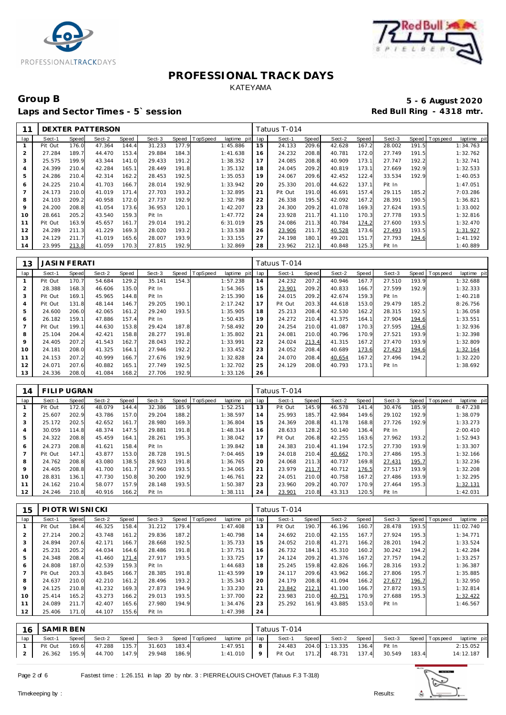



### Group B<br>
5 - 6 August 2020<br>
Laps and Sector Times - 5`session<br> **5 - 6 August 2020** Laps and Sector Times - 5' session

|     |         |       | DEXTER PATTERSON |       |        |       |          |             |     | Tatuus T-014 |       |        |       |        |       |                |             |
|-----|---------|-------|------------------|-------|--------|-------|----------|-------------|-----|--------------|-------|--------|-------|--------|-------|----------------|-------------|
| lap | Sect-1  | Speed | Sect-2           | Speed | Sect-3 | Speed | TopSpeed | laptime pit | lap | Sect-1       | Speed | Sect-2 | Speed | Sect-3 |       | Speed Topspeed | laptime pit |
|     | Pit Out | 176.0 | 47.364           | 144.4 | 31.233 | 177.9 |          | 1:45.886    | 15  | 24.133       | 209.6 | 42.628 | 167.2 | 28.002 | 191.5 |                | 1:34.763    |
| 2   | 27.284  | 189.7 | 44.470           | 153.4 | 29.884 | 184.3 |          | 1:41.638    | 16  | 24.232       | 208.8 | 40.781 | 172.0 | 27.749 | 191.5 |                | 1:32.762    |
| 3   | 25.575  | 199.9 | 43.344           | 141.0 | 29.433 | 191.2 |          | 1:38.352    | 17  | 24.085       | 208.8 | 40.909 | 173.1 | 27.747 | 192.2 |                | 1:32.741    |
| 4   | 24.399  | 210.4 | 42.284           | 165.1 | 28.449 | 191.8 |          | 1:35.132    | 18  | 24.045       | 209.2 | 40.819 | 173.1 | 27.669 | 192.9 |                | 1:32.533    |
| 5   | 24.286  | 210.4 | 42.314           | 162.2 | 28.453 | 192.5 |          | 1:35.053    | 19  | 24.067       | 209.6 | 42.452 | 122.4 | 33.534 | 192.9 |                | 1:40.053    |
| 6   | 24.225  | 210.4 | 41.703           | 166.7 | 28.014 | 192.9 |          | 1:33.942    | 20  | 25.330       | 201.0 | 44.622 | 137.1 | Pit In |       |                | 1:47.051    |
|     | 24.173  | 210.0 | 41.019           | 171.4 | 27.703 | 193.2 |          | 1:32.895    | 21  | Pit Out      | 191.0 | 46.691 | 157.4 | 29.115 | 185.2 |                | 7:03.286    |
| 8   | 24.103  | 209.2 | 40.958           | 172.0 | 27.737 | 192.9 |          | 1:32.798    | 22  | 26.338       | 195.5 | 42.092 | 167.2 | 28.391 | 190.5 |                | 1:36.821    |
| 9   | 24.200  | 208.8 | 41.054           | 173.6 | 36.953 | 120.1 |          | 1:42.207    | 23  | 24.300       | 209.2 | 41.078 | 169.3 | 27.624 | 193.5 |                | 1:33.002    |
| 10  | 28.661  | 205.2 | 43.540           | 159.3 | Pit In |       |          | 1:47.772    | 24  | 23.928       | 211.7 | 41.110 | 170.3 | 27.778 | 193.5 |                | 1:32.816    |
| 11  | Pit Out | 163.9 | 45.657           | 161.7 | 29.014 | 191.2 |          | 6:31.019    | 25  | 24.086       | 211.3 | 40.784 | 174.2 | 27.600 | 193.5 |                | 1:32.470    |
| 12  | 24.289  | 211.3 | 41.229           | 169.3 | 28.020 | 193.2 |          | 1:33.538    | 26  | 23.906       | 211.7 | 40.528 | 173.6 | 27.493 | 193.5 |                | 1:31.927    |
| 13  | 24.129  | 211.7 | 41.019           | 165.6 | 28.007 | 193.9 |          | 1:33.155    | 27  | 24.198       | 180.1 | 49.201 | 151.7 | 27.793 | 194.6 |                | 1: 41.192   |
| 14  | 23.995  | 213.8 | 41.059           | 170.3 | 27.815 | 192.9 |          | 1:32.869    | 28  | 23.962       | 212.1 | 40.848 | 125.3 | Pit In |       |                | 1:40.889    |

| 13  | JASI N FERATI |              |        |       |        |       |          |             |     | Tatuus T-014 |       |        |       |        |       |                   |             |
|-----|---------------|--------------|--------|-------|--------|-------|----------|-------------|-----|--------------|-------|--------|-------|--------|-------|-------------------|-------------|
| lap | Sect-1        | <b>Speed</b> | Sect-2 | Speed | Sect-3 | Speed | TopSpeed | laptime pit | lap | Sect-1       | Speed | Sect-2 | Speed | Sect-3 | Speed | <b>T</b> ops peed | laptime pit |
|     | Pit Out       | 170.7        | 54.684 | 129.2 | 35.141 | 154.3 |          | 1:57.238    | 14  | 24.232       | 207.2 | 40.946 | 167.7 | 27.510 | 193.9 |                   | 1:32.688    |
| ∠   | 28.388        | 168.3        | 46.606 | 135.0 | Pit In |       |          | 1:54.365    | 15  | 23.901       | 209.2 | 40.833 | 166.7 | 27.599 | 192.9 |                   | 1:32.333    |
| 3   | Pit Out       | 169.1        | 45.965 | 144.8 | Pit In |       |          | 2:15.390    | 16  | 24.015       | 209.2 | 42.674 | 159.3 | Pit In |       |                   | 1:40.218    |
| 4   | Pit Out       | 131.8        | 48.144 | 146.7 | 29.205 | 190.1 |          | 2:17.242    | 17  | Pit Out      | 203.3 | 44.618 | 153.0 | 29.479 | 185.2 |                   | 8:26.756    |
| 5   | 24.600        | 206.0        | 42.065 | 161.2 | 29.240 | 193.5 |          | 1:35.905    | 18  | 25.213       | 208.4 | 42.530 | 162.2 | 28.315 | 192.5 |                   | 1:36.058    |
| 6   | 26.182        | 159.1        | 47.886 | 157.4 | Pit In |       |          | 1:50.435    | 19  | 24.272       | 210.4 | 41.375 | 164.1 | 27.904 | 194.6 |                   | 1:33.551    |
|     | Pit Out       | 199.1        | 44.630 | 153.8 | 29.424 | 187.8 |          | 7:58.492    | 20  | 24.254       | 210.0 | 41.087 | 170.3 | 27.595 | 194.6 |                   | 1:32.936    |
| 8   | 25.104        | 204.4        | 42.421 | 158.8 | 28.277 | 191.8 |          | 1:35.802    | 21  | 24.081       | 210.0 | 40.796 | 170.9 | 27.521 | 193.9 |                   | 1:32.398    |
| 9   | 24.405        | 207.2        | 41.543 | 162.7 | 28.043 | 192.2 |          | 1:33.991    | 22  | 24.024       | 213.4 | 41.315 | 167.2 | 27.470 | 193.9 |                   | 1:32.809    |
| 10  | 24.181        | 208.0        | 41.325 | 164.1 | 27.946 | 192.2 |          | 1:33.452    | 23  | 24.052       | 208.4 | 40.689 | 173.6 | 27.423 | 194.6 |                   | 1:32.164    |
| 11  | 24.153        | 207.2        | 40.999 | 166.7 | 27.676 | 192.9 |          | 1:32.828    | 24  | 24.070       | 208.4 | 40.654 | 167.2 | 27.496 | 194.2 |                   | 1:32.220    |
| 12  | 24.071        | 207.6        | 40.882 | 165.1 | 27.749 | 192.5 |          | 1:32.702    | 25  | 24.129       | 208.0 | 40.793 | 173.1 | Pit In |       |                   | 1:38.692    |
| 13  | 24.336        | 208.0        | 41.084 | 168.2 | 27.706 | 192.9 |          | 1:33.126    | 26  |              |       |        |       |        |       |                   |             |

| 14      | FILIP UGRAN |       |        |       |        |       |          |             |     | Tatuus T-014 |       |        |       |        |       |                 |             |
|---------|-------------|-------|--------|-------|--------|-------|----------|-------------|-----|--------------|-------|--------|-------|--------|-------|-----------------|-------------|
| lap     | Sect-1      | Speed | Sect-2 | Speed | Sect-3 | Speed | TopSpeed | laptime pit | lap | Sect-1       | Speed | Sect-2 | Speed | Sect-3 |       | Speed Tops peed | laptime pit |
|         | Pit Out     | 172.6 | 48.079 | 144.4 | 32.386 | 185.9 |          | 1:52.251    | 13  | Pit Out      | 145.9 | 46.578 | 141.4 | 30.476 | 185.9 |                 | 8:47.238    |
|         | 25.607      | 202.9 | 43.786 | 157.0 | 29.204 | 188.2 |          | 1:38.597    | 14  | 25.993       | 185.7 | 42.984 | 149.6 | 29.102 | 192.9 |                 | 1:38.079    |
| 3       | 25.172      | 202.5 | 42.652 | 161.7 | 28.980 | 169.3 |          | 1:36.804    | 15  | 24.369       | 208.8 | 41.178 | 168.8 | 27.726 | 192.9 |                 | 1:33.273    |
|         | 30.059      | 114.8 | 48.374 | 147.5 | 29.881 | 191.8 |          | 1:48.314    | 16  | 28.633       | 128.2 | 50.140 | 136.4 | Pit In |       |                 | 2:00.410    |
| 5       | 24.322      | 208.8 | 45.459 | 164.1 | 28.261 | 195.3 |          | 1:38.042    | 17  | Pit Out      | 206.8 | 42.255 | 163.6 | 27.962 | 193.2 |                 | 1:52.943    |
| 6       | 24.273      | 208.8 | 41.621 | 158.4 | Pit In |       |          | 1:39.842    | 18  | 24.383       | 210.4 | 41.194 | 172.5 | 27.730 | 193.9 |                 | 1:33.307    |
|         | Pit Out     | 147.1 | 43.877 | 153.0 | 28.728 | 191.5 |          | 7:04.465    | 19  | 24.018       | 210.4 | 40.662 | 170.3 | 27.486 | 195.3 |                 | 1:32.166    |
| 8       | 24.762      | 208.8 | 43.080 | 138.5 | 28.923 | 191.8 |          | 1:36.765    | 20  | 24.068       | 211.3 | 40.737 | 169.8 | 27.431 | 195.7 |                 | 1:32.236    |
| $\circ$ | 24.405      | 208.8 | 41.700 | 161.7 | 27.960 | 193.5 |          | 1:34.065    | 21  | 23.979       | 211.7 | 40.712 | 176.5 | 27.517 | 193.9 |                 | 1:32.208    |
| 10      | 28.831      | 136.1 | 47.730 | 150.8 | 30.200 | 192.9 |          | 1:46.761    | 22  | 24.051       | 210.0 | 40.758 | 167.2 | 27.486 | 193.9 |                 | 1:32.295    |
| 11      | 24.162      | 210.4 | 58.077 | 157.9 | 28.148 | 193.5 |          | 1:50.387    | 23  | 23.960       | 209.2 | 40.707 | 170.9 | 27.464 | 195.3 |                 | 1:32.131    |
| 12      | 24.246      | 210.8 | 40.916 | 166.2 | Pit In |       |          | 1:38.111    | 24  | 23.901       | 210.8 | 43.313 | 120.5 | Pit In |       |                 | 1:42.031    |

| 15             | PIOTR WISNICKI |       |        |       |        |       |          |             |     | Tatuus T-014 |       |        |       |        |       |                                 |
|----------------|----------------|-------|--------|-------|--------|-------|----------|-------------|-----|--------------|-------|--------|-------|--------|-------|---------------------------------|
| lap            | Sect-1         | Speed | Sect-2 | Speed | Sect-3 | Speed | TopSpeed | laptime pit | lap | Sect-1       | Speed | Sect-2 | Speed | Sect-3 |       | Speed   Topspeed<br>laptime pit |
|                | Pit Out        | 184.4 | 46.325 | 158.4 | 31.212 | 179.4 |          | 1:47.408    | 13  | Pit Out      | 190.7 | 46.196 | 160.7 | 28.478 | 193.5 | 11:02.740                       |
| $\overline{2}$ | 27.214         | 200.2 | 43.748 | 161.2 | 29.836 | 187.2 |          | 1:40.798    | 14  | 24.692       | 210.0 | 42.155 | 167.7 | 27.924 | 195.3 | 1:34.771                        |
| 3              | 24.894         | 207.6 | 42.171 | 166.7 | 28.668 | 192.5 |          | 1:35.733    | 15  | 24.052       | 210.8 | 41.271 | 166.2 | 28.201 | 194.2 | 1:33.524                        |
| 4              | 25.231         | 205.2 | 44.034 | 164.6 | 28.486 | 191.8 |          | 1:37.751    | 16  | 26.732       | 184.1 | 45.310 | 160.2 | 30.242 | 194.2 | 1:42.284                        |
| 5              | 24.348         | 208.4 | 41.460 | 171.4 | 27.917 | 193.5 |          | 1:33.725    | 17  | 24.124       | 209.2 | 41.376 | 167.2 | 27.757 | 194.2 | 1:33.257                        |
| 6              | 24.808         | 187.0 | 42.539 | 159.3 | Pit In |       |          | 1:44.683    | 18  | 25.245       | 159.8 | 42.826 | 166.7 | 28.316 | 193.2 | 1:36.387                        |
|                | Pit Out        | 203.3 | 43.845 | 166.7 | 28.385 | 191.8 |          | 11:43.599   | 19  | 24.117       | 209.6 | 43.962 | 166.2 | 27.806 | 195.7 | 1:35.885                        |
| 8              | 24.637         | 210.0 | 42.210 | 161.2 | 28.496 | 193.2 |          | 1:35.343    | 20  | 24.179       | 208.8 | 41.094 | 166.2 | 27.677 | 196.7 | 1:32.950                        |
| 9              | 24.125         | 210.8 | 41.232 | 169.3 | 27.873 | 194.9 |          | 1:33.230    | 21  | 23.842       | 212.1 | 41.100 | 166.7 | 27.872 | 193.5 | 1:32.814                        |
| 10             | 25.414         | 165.2 | 43.273 | 166.2 | 29.013 | 193.5 |          | 1:37.700    | 22  | 23.983       | 210.0 | 40.751 | 170.9 | 27.688 | 195.3 | 1:32.422                        |
| 11             | 24.089         | 211.7 | 42.407 | 165.6 | 27.980 | 194.9 |          | 1:34.476    | 23  | 25.292       | 161.9 | 43.885 | 153.0 | Pit In |       | 1:46.567                        |
| 12             | 25.406         | 171.0 | 44.107 | 155.6 | Pit In |       |          | 1:47.398    | 24  |              |       |        |       |        |       |                                 |

| 16  | SAMIR BEN |       |        |       |        |       |                |                 |                | Tatuus T-014  |       |                       |       |        |       |                 |             |
|-----|-----------|-------|--------|-------|--------|-------|----------------|-----------------|----------------|---------------|-------|-----------------------|-------|--------|-------|-----------------|-------------|
| lap | Sect-1    | Speed | Sect-2 | Speed | Sect-3 |       | Speed TopSpeed | laptime pit lap |                | Sect-1        | Speed | Sect-2                | Speed | Sect-3 |       | Speed Tops peed | laptime pit |
|     | Pit Out   | 169.6 | 47.288 | 135.7 | 31.603 | 183.4 |                | 1:47.951        | 8              |               |       | 24.483 204.0 1:13.335 | 136.4 | Pit In |       |                 | 2:15.052    |
|     | 26.362    | 195.9 | 44.700 | 147.9 | 29.948 | 186.9 |                | 1:41.010        | 9 <sup>1</sup> | Pit Out 171.2 |       | 48.731                | 137.4 | 30.549 | 183.4 |                 | 14:12.187   |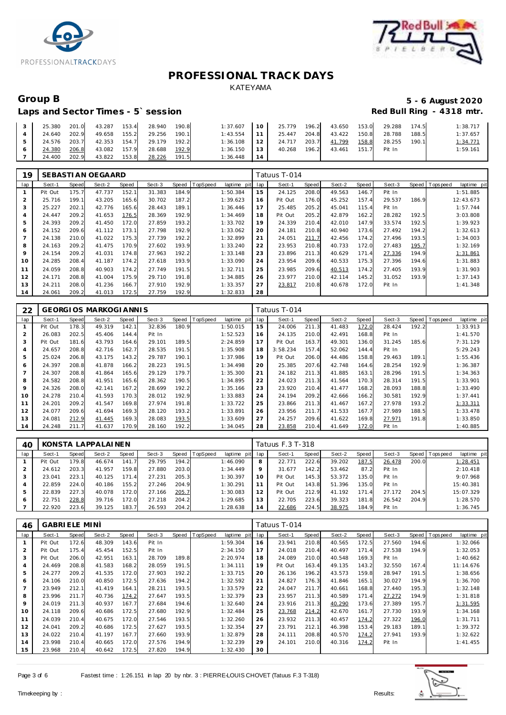



## Laps and Sector Times - 5`session

# Group B<br> **Example 2020**<br>
Laps and Sector Times - 5`session<br> **Example 2020**<br>
Red Bull Ring - 4318 mtr.

|  |  | 25.380 201.0 43.287 153.4 28.940 190.8 | $1:37.607$ 10 25.779 196.2 43.650 153.0 29.288 174.5 |                                                              |  |              |       | 1:38.717 |
|--|--|----------------------------------------|------------------------------------------------------|--------------------------------------------------------------|--|--------------|-------|----------|
|  |  | 24.640 202.9 49.658 155.2 29.256 190.1 |                                                      | $1:43.554$   11   25.447 204.8   43.422 150.8   28.788 188.5 |  |              |       | 1:37.657 |
|  |  | 24.576 203.7 42.353 154.7 29.179 192.2 |                                                      | $1:36.108$   12   24.717 203.7 41.799                        |  | 158.8 28.255 | 190.1 | 1:34.771 |
|  |  | 24.380 206.8 43.082 157.9 28.688 192.9 |                                                      | $1:36.150$   13   40.268 196.2 43.461 151.7 Pit In           |  |              |       | 1:59.161 |
|  |  | 24.400 202.9 43.822 153.8 28.226 191.5 | $1:36.448$ 14                                        |                                                              |  |              |       |          |

| 19             |         |       | SEBASTI AN OEGAARD |       |        |       |          |                |     | Tatuus T-014 |       |        |       |        |       |                           |
|----------------|---------|-------|--------------------|-------|--------|-------|----------|----------------|-----|--------------|-------|--------|-------|--------|-------|---------------------------|
| lap            | Sect-1  | Speed | Sect-2             | Speed | Sect-3 | Speed | TopSpeed | laptime<br>pit | lap | Sect-1       | Speed | Sect-2 | Speed | Sect-3 | Speed | T ops peed<br>laptime pit |
|                | Pit Out | 175.7 | 47.737             | 152.1 | 31.383 | 184.9 |          | 1:50.384       | 15  | 24.125       | 208.0 | 49.563 | 146.7 | Pit In |       | 1:51.885                  |
| $\overline{2}$ | 25.716  | 199.1 | 43.205             | 165.6 | 30.702 | 187.2 |          | 1:39.623       | 16  | Pit Out      | 176.0 | 45.252 | 157.4 | 29.537 | 186.9 | 12:43.673                 |
| 3              | 25.227  | 202.1 | 42.776             | 165.6 | 28.443 | 189.1 |          | 1:36.446       | 17  | 25.485       | 205.2 | 45.041 | 115.4 | Pit In |       | 1:57.744                  |
| $\overline{4}$ | 24.447  | 209.2 | 41.653             | 176.5 | 28.369 | 192.9 |          | 1:34.469       | 18  | Pit Out      | 205.2 | 42.879 | 162.2 | 28.282 | 192.5 | 3:03.808                  |
| 5              | 24.393  | 209.2 | 41.450             | 172.0 | 27.859 | 193.2 |          | 1:33.702       | 19  | 24.339       | 210.4 | 42.010 | 147.9 | 33.574 | 192.5 | 1:39.923                  |
| 6              | 24.152  | 209.6 | 41.112             | 173.1 | 27.798 | 192.9 |          | 1:33.062       | 20  | 24.181       | 210.8 | 40.940 | 173.6 | 27.492 | 194.2 | 1:32.613                  |
|                | 24.138  | 210.0 | 41.022             | 175.3 | 27.739 | 192.2 |          | 1:32.899       | 21  | 24.051       | 211.7 | 42.456 | 174.2 | 27.496 | 193.5 | 1:34.003                  |
| 8              | 24.163  | 209.2 | 41.475             | 170.9 | 27.602 | 193.9 |          | 1:33.240       | 22  | 23.953       | 210.8 | 40.733 | 172.0 | 27.483 | 195.7 | 1:32.169                  |
| 9              | 24.154  | 209.2 | 41.031             | 174.8 | 27.963 | 192.2 |          | 1:33.148       | 23  | 23.896       | 211.3 | 40.629 | 171.4 | 27.336 | 194.9 | 1:31.861                  |
| 10             | 24.285  | 208.4 | 41.187             | 174.2 | 27.618 | 193.9 |          | 1:33.090       | 24  | 23.954       | 209.6 | 40.533 | 175.3 | 27.396 | 194.6 | 1:31.883                  |
| 11             | 24.059  | 208.8 | 40.903             | 174.2 | 27.749 | 191.5 |          | 1:32.711       | 25  | 23.985       | 209.6 | 40.513 | 174.2 | 27.405 | 193.9 | 1:31.903                  |
| 12             | 24.171  | 208.8 | 41.004             | 175.9 | 29.710 | 191.8 |          | 1:34.885       | 26  | 23.977       | 210.0 | 42.114 | 145.2 | 31.052 | 193.9 | 1:37.143                  |
| 13             | 24.211  | 208.0 | 41.236             | 166.7 | 27.910 | 192.9 |          | 1:33.357       | 27  | 23.817       | 210.8 | 40.678 | 172.0 | Pit In |       | 1:41.348                  |
| 14             | 24.061  | 209.2 | 41.013             | 172.5 | 27.759 | 192.9 |          | 1:32.833       | 28  |              |       |        |       |        |       |                           |

| 22  |         |       | <b>GEORGIOS MARKOGIANNIS</b> |       |        |       |          |             |     | Tatuus T-014 |       |        |       |        |       |            |             |
|-----|---------|-------|------------------------------|-------|--------|-------|----------|-------------|-----|--------------|-------|--------|-------|--------|-------|------------|-------------|
| lap | Sect-1  | Speed | Sect-2                       | Speed | Sect-3 | Speed | TopSpeed | laptime pit | lap | Sect-1       | Speed | Sect-2 | Speed | Sect-3 | Speed | T ops peed | laptime pit |
|     | Pit Out | 178.3 | 49.319                       | 142.1 | 32.836 | 180.9 |          | 1:50.015    | 15  | 24.006       | 211.3 | 41.483 | 172.0 | 28.424 | 192.2 |            | 1:33.913    |
|     | 26.083  | 202.5 | 45.406                       | 144.4 | Pit In |       |          | 1:52.523    | 16  | 24.135       | 210.0 | 42.491 | 168.8 | Pit In |       |            | 1:41.570    |
| 3   | Pit Out | 181.6 | 43.793                       | 164.6 | 29.101 | 189.5 |          | 2:24.859    | 17  | Pit Out      | 163.7 | 49.301 | 136.0 | 31.245 | 185.6 |            | 7:31.129    |
|     | 24.657  | 208.8 | 42.716                       | 162.7 | 28.535 | 191.5 |          | 1:35.908    | 18  | 3:58.234     | 157.4 | 52.062 | 144.4 | Pit In |       |            | 5:29.243    |
| 5   | 25.024  | 206.8 | 43.175                       | 143.2 | 29.787 | 190.1 |          | 1:37.986    | 19  | Pit Out      | 206.0 | 44.486 | 158.8 | 29.463 | 189.1 |            | 1:55.436    |
| 6   | 24.397  | 208.8 | 41.878                       | 166.2 | 28.223 | 191.5 |          | 1:34.498    | 20  | 25.385       | 207.6 | 42.748 | 164.6 | 28.254 | 192.9 |            | 1:36.387    |
|     | 24.307  | 208.8 | 41.864                       | 165.6 | 29.129 | 179.7 |          | 1:35.300    | 21  | 24.182       | 211.3 | 41.885 | 163.1 | 28.296 | 191.5 |            | 1:34.363    |
| 8   | 24.582  | 208.8 | 41.951                       | 165.6 | 28.362 | 190.5 |          | 1:34.895    | 22  | 24.023       | 211.3 | 41.564 | 170.3 | 28.314 | 191.5 |            | 1:33.901    |
| 9   | 24.326  | 208.0 | 42.141                       | 167.2 | 28.699 | 192.2 |          | 1:35.166    | 23  | 23.920       | 210.4 | 41.477 | 168.2 | 28.093 | 188.8 |            | 1:33.490    |
| 10  | 24.278  | 210.4 | 41.593                       | 170.3 | 28.012 | 192.9 |          | 1:33.883    | 24  | 24.194       | 209.2 | 42.666 | 166.2 | 30.581 | 192.9 |            | 1:37.441    |
| 11  | 24.201  | 209.2 | 41.547                       | 169.8 | 27.974 | 191.8 |          | 1:33.722    | 25  | 23.866       | 211.3 | 41.467 | 167.2 | 27.978 | 193.2 |            | 1:33.311    |
| 12  | 24.077  | 209.6 | 41.694                       | 169.3 | 28.120 | 193.2 |          | 1:33.891    | 26  | 23.956       | 211.7 | 41.533 | 167.7 | 27.989 | 188.5 |            | 1:33.478    |
| 13  | 24.081  | 212.9 | 41.445                       | 169.3 | 28.083 | 193.5 |          | 1:33.609    | 27  | 24.257       | 209.6 | 41.622 | 169.8 | 27.971 | 191.8 |            | 1:33.850    |
| 14  | 24.248  | 211.7 | 41.637                       | 170.9 | 28.160 | 192.2 |          | 1:34.045    | 28  | 23.858       | 210.4 | 41.649 | 172.0 | Pit In |       |            | 1:40.885    |

| AC  |         |       | KONSTA LAPPALAINEN |       |        |       |          |             |                | Tatuus F.3 T-318 |       |        |          |        |       |            |             |
|-----|---------|-------|--------------------|-------|--------|-------|----------|-------------|----------------|------------------|-------|--------|----------|--------|-------|------------|-------------|
| lap | Sect-1  | Speed | Sect-2             | Speed | Sect-3 | Speed | TopSpeed | laptime pit | lap            | Sect-1           | Speed | Sect-2 | Speed    | Sect-3 | Speed | T ops peed | laptime pit |
|     | Pit Out | 179.8 | 46.674             | 141   | 29.795 | 194.2 |          | 1:46.090    | 8              | 22.771           | 222.6 | 39.202 | 187.5    | 26.478 | 200.0 |            | 1:28.451    |
|     | 24.612  | 203.3 | 41.957             | 159.8 | 27.880 | 203.0 |          | 1:34.449    | 9              | 31.677           | 142.2 | 53.462 | 87.2     | Pit In |       |            | 2:10.418    |
| 3   | 23.041  | 223.  | 40.125             | 171.4 | 27.231 | 205.3 |          | 1:30.397    |                | Pit Out          | 145.3 | 53.372 | 135.0    | Pit In |       |            | 9:07.968    |
| 4   | 22.859  | 224.0 | 40.186             | 155.2 | 27.246 | 204.9 |          | 1:30.291    |                | Pit Out          | 143.8 | 51.396 | 135.0    | Pit In |       |            | 15:40.381   |
| ь   | 22.839  | 227.3 | 40.078             | 172.0 | 27.166 | 205.7 |          | 1:30.083    | $\overline{2}$ | Pit Out          | 212.9 | 41.192 | 171<br>4 | 27.172 | 204.5 |            | 15:07.329   |
| 6   | 22.751  | 228.8 | 39.716             | 172.0 | 27.218 | 204.2 |          | 1:29.685    | 3              | 22.705           | 223.6 | 39.323 | 181.8    | 26.542 | 204.9 |            | 1:28.570    |
|     | 22.920  | 223.6 | 39.125             | 183.7 | 26.593 | 204.2 |          | 1:28.638    | $\overline{4}$ | 22.686           | 224.5 | 38.975 | 184.9    | Pit In |       |            | 1:36.745    |

| 46  | <b>GABRIELE MINI</b> |              |        |       |        |       |          |             |     | Tatuus T-014 |       |        |       |        |       |             |             |
|-----|----------------------|--------------|--------|-------|--------|-------|----------|-------------|-----|--------------|-------|--------|-------|--------|-------|-------------|-------------|
| lap | Sect-1               | <b>Speed</b> | Sect-2 | Speed | Sect-3 | Speed | TopSpeed | laptime pit | lap | Sect-1       | Speed | Sect-2 | Speed | Sect-3 | Speed | T ops pee d | laptime pit |
|     | Pit Out              | 172.6        | 48.309 | 143.6 | Pit In |       |          | 1:59.304    | 16  | 23.941       | 210.8 | 40.565 | 172.5 | 27.560 | 194.6 |             | 1:32.066    |
| 2   | Pit Out              | 175.4        | 45.454 | 152.5 | Pit In |       |          | 2:34.150    | 17  | 24.018       | 210.4 | 40.497 | 171.4 | 27.538 | 194.9 |             | 1:32.053    |
| 3   | Pit Out              | 206.0        | 42.951 | 163.1 | 28.709 | 189.8 |          | 2:20.974    | 18  | 24.089       | 210.0 | 40.548 | 169.3 | Pit In |       |             | 1:40.662    |
| 4   | 24.469               | 208.8        | 41.583 | 168.2 | 28.059 | 191.5 |          | 1:34.111    | 19  | Pit Out      | 163.4 | 49.135 | 143.2 | 32.550 | 167.4 |             | 11:14.676   |
| 5   | 24.277               | 209.2        | 41.535 | 172.0 | 27.903 | 192.2 |          | 1:33.715    | 20  | 26.136       | 196.2 | 43.573 | 159.8 | 28.947 | 191.5 |             | 1:38.656    |
| 6   | 24.106               | 210.0        | 40.850 | 172.5 | 27.636 | 194.2 |          | 1:32.592    | 21  | 24.827       | 176.3 | 41.846 | 165.1 | 30.027 | 194.9 |             | 1:36.700    |
|     | 23.949               | 212.1        | 41.419 | 164.1 | 28.211 | 193.5 |          | 1:33.579    | 22  | 24.047       | 211.7 | 40.661 | 168.8 | 27.440 | 195.3 |             | 1:32.148    |
| 8   | 23.996               | 211.7        | 40.736 | 174.2 | 27.647 | 193.5 |          | 1:32.379    | 23  | 23.957       | 211.3 | 40.589 | 171.4 | 27.272 | 194.9 |             | 1:31.818    |
| 9   | 24.019               | 211.3        | 40.937 | 167.7 | 27.684 | 194.6 |          | 1:32.640    | 24  | 23.916       | 211.3 | 40.290 | 173.6 | 27.389 | 195.7 |             | 1:31.595    |
| 10  | 24.118               | 209.6        | 40.686 | 172.5 | 27.680 | 192.9 |          | 1:32.484    | 25  | 23.768       | 214.2 | 42.670 | 161.7 | 27.730 | 193.9 |             | 1:34.168    |
| 11  | 24.039               | 210.4        | 40.675 | 172.0 | 27.546 | 193.5 |          | 1:32.260    | 26  | 23.932       | 211.3 | 40.457 | 174.2 | 27.322 | 196.0 |             | 1:31.711    |
| 12  | 24.041               | 209.2        | 40.686 | 172.5 | 27.627 | 193.5 |          | 1:32.354    | 27  | 23.791       | 212.1 | 46.398 | 153.4 | 29.183 | 189.1 |             | 1:39.372    |
| 13  | 24.022               | 210.4        | 41.197 | 167.7 | 27.660 | 193.9 |          | 1:32.879    | 28  | 24.111       | 208.8 | 40.570 | 174.2 | 27.941 | 193.9 |             | 1:32.622    |
| 14  | 23.998               | 210.4        | 40.665 | 172.0 | 27.576 | 194.9 |          | 1:32.239    | 29  | 24.101       | 210.0 | 40.316 | 174.2 | Pit In |       |             | 1: 41.455   |
| 15  | 23.968               | 210.4        | 40.642 | 172.5 | 27.820 | 194.9 |          | 1:32.430    | 30  |              |       |        |       |        |       |             |             |

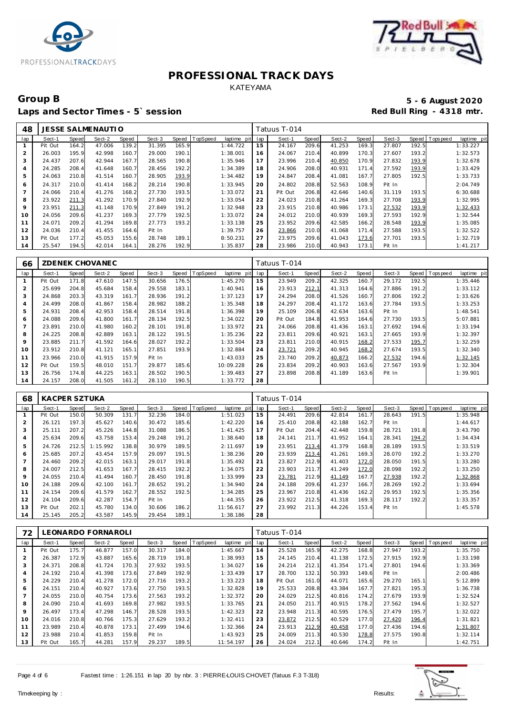



### Group B<br> **Example 2020**<br>
Laps and Sector Times - 5`session<br> **Example 2020**<br>
Red Bull Ring - 4318 mtr. Laps and Sector Times - 5' session

| 48  |         |       | JESSE SALMENAUTIO |       |        |       |                 |             |     | Tatuus T-014 |       |        |       |        |       |                 |             |
|-----|---------|-------|-------------------|-------|--------|-------|-----------------|-------------|-----|--------------|-------|--------|-------|--------|-------|-----------------|-------------|
| lap | Sect-1  | Speed | Sect-2            | Speed | Sect-3 | Speed | <b>TopSpeed</b> | laptime pit | lap | Sect-1       | Speed | Sect-2 | Speed | Sect-3 |       | Speed Tops peed | laptime pit |
|     | Pit Out | 164.2 | 47.006            | 139.2 | 31.395 | 165.9 |                 | 1:44.722    | 15  | 24.167       | 209.6 | 41.253 | 169.3 | 27.807 | 192.5 |                 | 1:33.227    |
|     | 26.003  | 195.9 | 42.998            | 160.7 | 29.000 | 190.1 |                 | 1:38.001    | 16  | 24.067       | 210.4 | 40.899 | 170.3 | 27.607 | 193.2 |                 | 1:32.573    |
| 3   | 24.437  | 207.6 | 42.944            | 167.7 | 28.565 | 190.8 |                 | 1:35.946    | 17  | 23.996       | 210.4 | 40.850 | 170.9 | 27.832 | 193.9 |                 | 1:32.678    |
| 4   | 24.285  | 208.4 | 41.648            | 160.7 | 28.456 | 192.2 |                 | 1:34.389    | 18  | 24.906       | 208.0 | 40.931 | 171.4 | 27.592 | 193.9 |                 | 1:33.429    |
| 5   | 24.063  | 210.8 | 41.514            | 160.7 | 28.905 | 193.9 |                 | 1:34.482    | 19  | 24.847       | 208.4 | 41.081 | 167.7 | 27.805 | 192.5 |                 | 1:33.733    |
| 6   | 24.317  | 210.0 | 41.414            | 168.2 | 28.214 | 190.8 |                 | 1:33.945    | 20  | 24.802       | 208.8 | 52.563 | 108.9 | Pit In |       |                 | 2:04.749    |
|     | 24.066  | 210.4 | 41.276            | 168.2 | 27.730 | 193.5 |                 | 1:33.072    | 21  | Pit Out      | 206.8 | 42.646 | 140.6 | 31.119 | 193.5 |                 | 6:30.688    |
| 8   | 23.922  | 211.3 | 41.292            | 170.9 | 27.840 | 192.9 |                 | 1:33.054    | 22  | 24.023       | 210.8 | 41.264 | 169.3 | 27.708 | 193.9 |                 | 1:32.995    |
| 9   | 23.951  | 211.3 | 41.148            | 170.9 | 27.849 | 191.2 |                 | 1:32.948    | 23  | 23.915       | 210.8 | 40.986 | 173.1 | 27.532 | 193.9 |                 | 1:32.433    |
| 10  | 24.056  | 209.6 | 41.237            | 169.3 | 27.779 | 192.5 |                 | 1:33.072    | 24  | 24.012       | 210.0 | 40.939 | 169.3 | 27.593 | 192.9 |                 | 1:32.544    |
| 11  | 24.071  | 209.2 | 41.294            | 169.8 | 27.773 | 193.2 |                 | 1:33.138    | 25  | 23.952       | 209.6 | 42.585 | 166.2 | 28.548 | 193.9 |                 | 1:35.085    |
| 12  | 24.036  | 210.4 | 41.455            | 164.6 | Pit In |       |                 | 1:39.757    | 26  | 23.866       | 210.0 | 41.068 | 171.4 | 27.588 | 193.5 |                 | 1:32.522    |
| 13  | Pit Out | 177.2 | 45.053            | 155.6 | 28.748 | 189.1 |                 | 8:50.231    | 27  | 23.975       | 209.6 | 41.043 | 173.6 | 27.701 | 193.5 |                 | 1:32.719    |
| 14  | 25.547  | 194.5 | 42.014            | 164.1 | 28.276 | 192.9 |                 | 1:35.837    | 28  | 23.986       | 210.0 | 40.943 | 173.1 | Pit In |       |                 | 1:41.217    |

| 66  |         |       | ZDENEK CHOVANEC |       |        |       |          |             |     | Tatuus T-014 |       |        |       |        |       |                   |             |
|-----|---------|-------|-----------------|-------|--------|-------|----------|-------------|-----|--------------|-------|--------|-------|--------|-------|-------------------|-------------|
| lap | Sect-1  | Speed | Sect-2          | Speed | Sect-3 | Speed | TopSpeed | laptime pit | lap | Sect-1       | Speed | Sect-2 | Speed | Sect-3 | Speed | <b>T</b> ops peed | laptime pit |
|     | Pit Out | 171.8 | 47.610          | 147.5 | 30.656 | 176.5 |          | 1:45.270    | 15  | 23.949       | 209.2 | 42.325 | 160.7 | 29.172 | 192.5 |                   | 1:35.446    |
| 2   | 25.699  | 204.8 | 45.684          | 158.4 | 29.558 | 183.1 |          | 1:40.941    | 16  | 23.913       | 212.1 | 41.313 | 164.6 | 27.886 | 191.2 |                   | 1:33.112    |
| 3   | 24.868  | 203.3 | 43.319          | 161.7 | 28.936 | 191.2 |          | 1:37.123    | 17  | 24.294       | 208.0 | 41.526 | 160.7 | 27.806 | 192.2 |                   | 1:33.626    |
| 4   | 24.499  | 208.0 | 41.867          | 158.4 | 28.982 | 188.2 |          | 1:35.348    | 18  | 24.297       | 208.4 | 41.172 | 163.6 | 27.784 | 193.5 |                   | 1:33.253    |
| 5   | 24.931  | 208.4 | 42.953          | 158.4 | 28.514 | 191.8 |          | 1:36.398    | 19  | 25.109       | 206.8 | 42.634 | 163.6 | Pit In |       |                   | 1:48.541    |
| 6   | 24.088  | 209.6 | 41.800          | 161.7 | 28.134 | 192.5 |          | 1:34.022    | 20  | Pit Out      | 184.8 | 41.953 | 164.6 | 27.730 | 193.5 |                   | 5:07.881    |
|     | 23.891  | 210.0 | 41.980          | 160.2 | 28.101 | 191.8 |          | 1:33.972    | 21  | 24.066       | 208.8 | 41.436 | 163.1 | 27.692 | 194.6 |                   | 1:33.194    |
| 8   | 24.225  | 208.8 | 42.889          | 163.1 | 28.122 | 191.5 |          | 1:35.236    | 22  | 23.811       | 209.6 | 40.921 | 163.1 | 27.665 | 193.9 |                   | 1:32.397    |
| 9   | 23.885  | 211.7 | 41.592          | 164.6 | 28.027 | 192.2 |          | 1:33.504    | 23  | 23.811       | 210.0 | 40.915 | 168.2 | 27.533 | 195.7 |                   | 1:32.259    |
| 10  | 23.912  | 210.8 | 41.121          | 165.1 | 27.851 | 193.9 |          | 1:32.884    | 24  | 23.721       | 209.2 | 40.945 | 168.2 | 27.674 | 193.5 |                   | 1:32.340    |
| 11  | 23.966  | 210.0 | 41.915          | 157.9 | Pit In |       |          | 1:43.033    | 25  | 23.740       | 209.2 | 40.873 | 166.2 | 27.532 | 194.6 |                   | 1:32.145    |
| 12  | Pit Out | 159.5 | 48.010          | 151.7 | 29.877 | 185.6 |          | 10:09.228   | 26  | 23.834       | 209.2 | 40.903 | 163.6 | 27.567 | 193.9 |                   | 1:32.304    |
| 13  | 26.756  | 174.8 | 44.225          | 163.1 | 28.502 | 190.5 |          | 1:39.483    | 27  | 23.898       | 208.8 | 41.189 | 163.6 | Pit In |       |                   | 1:39.901    |
| 14  | 24.157  | 208.0 | 41.505          | 161.2 | 28.110 | 190.5 |          | 1:33.772    | 28  |              |       |        |       |        |       |                   |             |

| 68  | KACPER SZTUKA |              |          |       |        |       |          |             |     | Tatuus T-014 |       |        |       |        |       |                |             |
|-----|---------------|--------------|----------|-------|--------|-------|----------|-------------|-----|--------------|-------|--------|-------|--------|-------|----------------|-------------|
| lap | Sect-1        | <b>Speed</b> | Sect-2   | Speed | Sect-3 | Speed | TopSpeed | laptime pit | lap | Sect-1       | Speed | Sect-2 | Speed | Sect-3 |       | Speed Topspeed | laptime pit |
|     | Pit Out       | 150.0        | 50.309   | 131.7 | 32.236 | 184.0 |          | 1:51.023    | 15  | 24.491       | 209.6 | 42.814 | 161.7 | 28.643 | 191.5 |                | 1:35.948    |
| 2   | 26.121        | 197.3        | 45.627   | 140.6 | 30.472 | 185.6 |          | 1:42.220    | 16  | 25.410       | 208.8 | 42.188 | 162.7 | Pit In |       |                | 1:44.617    |
| 3   | 25.111        | 207.2        | 45.226   | 144.8 | 31.088 | 186.5 |          | 1:41.425    | 17  | Pit Out      | 204.4 | 42.448 | 159.8 | 28.721 | 191.8 |                | 3:43.790    |
| 4   | 25.634        | 209.6        | 43.758   | 153.4 | 29.248 | 191.2 |          | 1:38.640    | 18  | 24.141       | 211.7 | 41.952 | 164.1 | 28.341 | 194.2 |                | 1:34.434    |
| 5   | 24.726        | 212.5        | 1:15.992 | 138.8 | 30.979 | 189.5 |          | 2:11.697    | 19  | 23.951       | 213.4 | 41.379 | 168.8 | 28.189 | 193.5 |                | 1:33.519    |
| 6   | 25.685        | 207.2        | 43.454   | 157.9 | 29.097 | 191.5 |          | 1:38.236    | 20  | 23.939       | 213.4 | 41.261 | 169.3 | 28.070 | 192.2 |                | 1:33.270    |
|     | 24.460        | 209.2        | 42.015   | 163.1 | 29.017 | 191.8 |          | 1:35.492    | 21  | 23.827       | 212.9 | 41.403 | 172.0 | 28.050 | 191.5 |                | 1:33.280    |
| 8   | 24.007        | 212.5        | 41.653   | 167.7 | 28.415 | 192.2 |          | 1:34.075    | 22  | 23.903       | 211.7 | 41.249 | 172.0 | 28.098 | 192.2 |                | 1:33.250    |
| 9   | 24.055        | 210.4        | 41.494   | 160.7 | 28.450 | 191.8 |          | 1:33.999    | 23  | 23.781       | 212.9 | 41.149 | 167.7 | 27.938 | 192.2 |                | 1:32.868    |
| 10  | 24.188        | 209.6        | 42.100   | 161.7 | 28.652 | 191.2 |          | 1:34.940    | 24  | 24.188       | 209.6 | 41.237 | 166.7 | 28.269 | 192.2 |                | 1:33.694    |
| 11  | 24.154        | 209.6        | 41.579   | 162.7 | 28.552 | 192.5 |          | 1:34.285    | 25  | 23.967       | 210.8 | 41.436 | 162.2 | 29.953 | 192.5 |                | 1:35.356    |
| 12  | 24.104        | 209.6        | 42.287   | 154.7 | Pit In |       |          | 1:44.355    | 26  | 23.922       | 212.5 | 41.318 | 169.3 | 28.117 | 192.2 |                | 1:33.357    |
| 13  | Pit Out       | 202.1        | 45.780   | 134.0 | 30.606 | 186.2 |          | 11:56.617   | 27  | 23.992       | 211.3 | 44.226 | 153.4 | Pit In |       |                | 1:45.578    |
| 14  | 25.145        | 205.2        | 43.587   | 145.9 | 29.454 | 189.1 |          | 1:38.186    | 28  |              |       |        |       |        |       |                |             |

| 72             |         |       | EONARDO FORNAROLI |       |        |       |          |                |     | Tatuus T-014 |       |        |       |        |       |          |             |
|----------------|---------|-------|-------------------|-------|--------|-------|----------|----------------|-----|--------------|-------|--------|-------|--------|-------|----------|-------------|
| lap            | Sect-1  | Speed | Sect-2            | Speed | Sect-3 | Speed | TopSpeed | laptime<br>pit | lap | Sect-1       | Speed | Sect-2 | Speed | Sect-3 | Speed | Topspeed | laptime pit |
|                | Pit Out | 175.7 | 46.877            | 157.0 | 30.317 | 184.0 |          | 1:45.667       | 14  | 25.528       | 165.9 | 42.275 | 168.8 | 27.947 | 193.2 |          | 1:35.750    |
| $\overline{2}$ | 26.387  | 172.9 | 43.887            | 165.6 | 28.719 | 191.8 |          | 1:38.993       | 15  | 24.145       | 210.4 | 41.138 | 172.5 | 27.915 | 192.9 |          | 1:33.198    |
| 3              | 24.371  | 208.8 | 41.724            | 170.3 | 27.932 | 193.5 |          | 1:34.027       | 16  | 24.214       | 212.1 | 41.354 | 171.4 | 27.801 | 194.6 |          | 1:33.369    |
| 4              | 24.192  | 210.4 | 41.398            | 173.6 | 27.849 | 192.9 |          | 1:33.439       | 17  | 28.700       | 132.1 | 50.393 | 149.6 | Pit In |       |          | 2:00.486    |
| 5              | 24.229  | 210.4 | 41.278            | 172.0 | 27.716 | 193.2 |          | 1:33.223       | 18  | Pit Out      | 161.0 | 44.071 | 165.6 | 29.270 | 165.1 |          | 5:12.899    |
| 6              | 24.151  | 210.4 | 40.927            | 173.6 | 27.750 | 193.5 |          | 1:32.828       | 19  | 25.533       | 208.8 | 43.384 | 167.7 | 27.821 | 195.3 |          | 1:36.738    |
|                | 24.055  | 210.0 | 40.754            | 173.6 | 27.563 | 193.2 |          | 1:32.372       | 20  | 24.029       | 212.5 | 40.816 | 174.2 | 27.679 | 193.9 |          | 1:32.524    |
| 8              | 24.090  | 210.4 | 41.693            | 169.8 | 27.982 | 193.5 |          | 1:33.765       | 21  | 24.050       | 211.7 | 40.915 | 178.2 | 27.562 | 194.6 |          | 1:32.527    |
| $\circ$        | 26.497  | 173.4 | 47.298            | 146.7 | 28.528 | 193.5 |          | 1:42.323       | 22  | 23.948       | 211.3 | 40.595 | 176.5 | 27.479 | 195.7 |          | 1:32.022    |
| 10             | 24.016  | 210.8 | 40.766            | 175.3 | 27.629 | 193.2 |          | 1:32.411       | 23  | 23.872       | 212.5 | 40.529 | 177.0 | 27.420 | 196.4 |          | 1:31.821    |
| 11             | 23.989  | 210.4 | 40.878            | 173.1 | 27.499 | 194.6 |          | 1:32.366       | 24  | 23.913       | 212.9 | 40.458 | 177.0 | 27.436 | 194.6 |          | 1:31.807    |
| 12             | 23.988  | 210.4 | 41.853            | 159.8 | Pit In |       |          | 1:43.923       | 25  | 24.009       | 211.3 | 40.530 | 178.8 | 27.575 | 190.8 |          | 1:32.114    |
| 13             | Pit Out | 165.7 | 44.281            | 157.9 | 29.237 | 189.5 |          | 11:54.197      | 26  | 24.024       | 212.1 | 40.646 | 174.2 | Pit In |       |          | 1:42.751    |

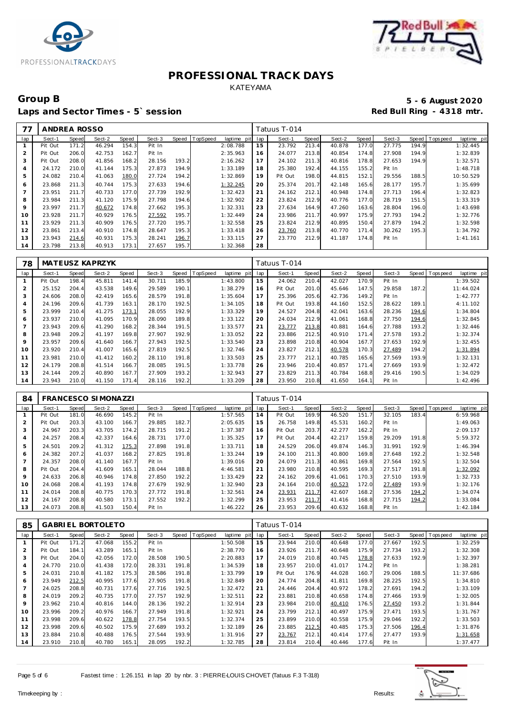



### Group B<br>
5 - 6 August 2020<br>
Laps and Sector Times - 5`session<br> **5 - 6 August 2020** Laps and Sector Times - 5<sup>°</sup> session

| 77             | ANDREA ROSSO |       |        |       |        |       |          |             |     | Tatuus T-014 |       |        |       |        |       |                |             |
|----------------|--------------|-------|--------|-------|--------|-------|----------|-------------|-----|--------------|-------|--------|-------|--------|-------|----------------|-------------|
| lap            | Sect-1       | Speed | Sect-2 | Speed | Sect-3 | Speed | TopSpeed | laptime pit | lap | Sect-1       | Speed | Sect-2 | Speed | Sect-3 |       | Speed Topspeed | laptime pit |
|                | Pit Out      | 171.2 | 46.294 | 154.3 | Pit In |       |          | 2:08.788    | 15  | 23.792       | 213.4 | 40.878 | 177.0 | 27.775 | 194.9 |                | 1:32.445    |
| 2              | Pit Out      | 206.0 | 42.753 | 162.7 | Pit In |       |          | 2:35.963    | 16  | 24.077       | 213.8 | 40.854 | 174.8 | 27.908 | 194.9 |                | 1:32.839    |
| 3              | Pit Out      | 208.0 | 41.856 | 168.2 | 28.156 | 193.2 |          | 2:16.262    | 17  | 24.102       | 211.3 | 40.816 | 178.8 | 27.653 | 194.9 |                | 1:32.571    |
| 4              | 24.172       | 210.0 | 41.144 | 175.3 | 27.873 | 194.9 |          | 1:33.189    | 18  | 25.380       | 192.4 | 44.155 | 155.2 | Pit In |       |                | 1:48.718    |
| 5              | 24.082       | 210.4 | 41.063 | 180.0 | 27.724 | 194.2 |          | 1:32.869    | 19  | Pit Out      | 198.0 | 44.815 | 152.1 | 29.556 | 188.5 |                | 10:50.529   |
| 6              | 23.868       | 211.3 | 40.744 | 175.3 | 27.633 | 194.6 |          | 1:32.245    | 20  | 25.374       | 201.7 | 42.148 | 165.6 | 28.177 | 195.7 |                | 1:35.699    |
| $\overline{7}$ | 23.951       | 211.7 | 40.733 | 177.0 | 27.739 | 192.9 |          | 1:32.423    | 21  | 24.162       | 212.1 | 40.948 | 174.8 | 27.713 | 196.4 |                | 1:32.823    |
| 8              | 23.984       | 211.3 | 41.120 | 175.9 | 27.798 | 194.6 |          | 1:32.902    | 22  | 23.824       | 212.9 | 40.776 | 177.0 | 28.719 | 151.5 |                | 1:33.319    |
| 9              | 23.997       | 211.7 | 40.672 | 174.8 | 27.662 | 195.3 |          | 1:32.331    | 23  | 27.634       | 164.9 | 47.260 | 163.6 | 28.804 | 196.0 |                | 1:43.698    |
| 10             | 23.928       | 211.7 | 40.929 | 176.5 | 27.592 | 195.7 |          | 1:32.449    | 24  | 23.986       | 211.7 | 40.997 | 175.9 | 27.793 | 194.2 |                | 1:32.776    |
| 11             | 23.929       | 211.3 | 40.909 | 176.5 | 27.720 | 195.7 |          | 1:32.558    | 25  | 23.824       | 212.9 | 40.895 | 150.4 | 27.879 | 194.2 |                | 1:32.598    |
| 12             | 23.861       | 213.4 | 40.910 | 174.8 | 28.647 | 195.3 |          | 1:33.418    | 26  | 23.760       | 213.8 | 40.770 | 171.4 | 30.262 | 195.3 |                | 1:34.792    |
| 13             | 23.943       | 214.6 | 40.931 | 175.3 | 28.241 | 196.7 |          | 1:33.115    | 27  | 23.770       | 212.9 | 41.187 | 174.8 | Pit In |       |                | 1:41.161    |
| 14             | 23.798       | 213.8 | 40.913 | 173.1 | 27.657 | 195.7 |          | 1:32.368    | 28  |              |       |        |       |        |       |                |             |

| 78             |         |       | MATEUSZ KAPRZYK |       |        |       |          |                |     | Fatuus T-014 |       |        |       |        |       |          |             |
|----------------|---------|-------|-----------------|-------|--------|-------|----------|----------------|-----|--------------|-------|--------|-------|--------|-------|----------|-------------|
| lap            | Sect-1  | Speed | Sect-2          | Speed | Sect-3 | Speed | TopSpeed | laptime<br>pit | lap | Sect-1       | Speed | Sect-2 | Speed | Sect-3 | Speed | Topspeed | laptime pit |
|                | Pit Out | 198.4 | 45.811          | 141.4 | 30.711 | 185.9 |          | 1:43.800       | 15  | 24.062       | 210.4 | 42.027 | 170.9 | Pit In |       |          | 1:39.502    |
| 2              | 25.152  | 204.4 | 43.538          | 149.6 | 29.589 | 190.1 |          | 1:38.279       | 16  | Pit Out      | 201.0 | 45.646 | 147.5 | 29.858 | 187.2 |          | 11:44.024   |
| 3              | 24.606  | 208.0 | 42.419          | 165.6 | 28.579 | 191.8 |          | 1:35.604       | 17  | 25.396       | 205.6 | 42.736 | 149.2 | Pit In |       |          | 1:42.777    |
| 4              | 24.196  | 209.6 | 41.739          | 163.1 | 28.170 | 192.5 |          | 1:34.105       | 18  | Pit Out      | 193.8 | 44.160 | 152.5 | 28.622 | 189.1 |          | 4:11.102    |
| 5              | 23.999  | 210.4 | 41.275          | 173.1 | 28.055 | 192.9 |          | 1:33.329       | 19  | 24.527       | 204.8 | 42.041 | 163.6 | 28.236 | 194.6 |          | 1:34.804    |
| 6              | 23.937  | 210.0 | 41.095          | 170.9 | 28.090 | 189.8 |          | 1:33.122       | 20  | 24.034       | 212.9 | 41.061 | 168.8 | 27.750 | 194.6 |          | 1:32.845    |
| $\overline{7}$ | 23.943  | 209.6 | 41.290          | 168.2 | 28.344 | 191   |          | 1:33.577       | 21  | 23.777       | 213.8 | 40.881 | 164.6 | 27.788 | 193.2 |          | 1:32.446    |
| 8              | 23.948  | 209.2 | 41.197          | 169.8 | 27.907 | 192.9 |          | 1:33.052       | 22  | 23.886       | 212.5 | 40.910 | 171.4 | 27.578 | 193.2 |          | 1:32.374    |
| 9              | 23.957  | 209.6 | 41.640          | 166.7 | 27.943 | 192.5 |          | 1:33.540       | 23  | 23.898       | 210.8 | 40.904 | 167.7 | 27.653 | 192.9 |          | 1:32.455    |
| 10             | 23.920  | 210.4 | 41.007          | 165.6 | 27.819 | 192.5 |          | 1:32.746       | 24  | 23.827       | 212.1 | 40.578 | 170.3 | 27.489 | 194.2 |          | 1:31.894    |
| 11             | 23.981  | 210.0 | 41.412          | 160.2 | 28.110 | 191.8 |          | 1:33.503       | 25  | 23.777       | 212.1 | 40.785 | 165.6 | 27.569 | 193.9 |          | 1:32.131    |
| 12             | 24.179  | 208.8 | 41.514          | 166.7 | 28.085 | 191   |          | 1:33.778       | 26  | 23.946       | 210.4 | 40.857 | 171.4 | 27.669 | 193.9 |          | 1:32.472    |
| 13             | 24.144  | 209.2 | 40.890          | 167.7 | 27.909 | 193.2 |          | 1:32.943       | 27  | 23.829       | 211.3 | 40.784 | 168.8 | 29.416 | 190.5 |          | 1:34.029    |
| 14             | 23.943  | 210.0 | 41.150          | 171.4 | 28.116 | 192.2 |          | 1:33.209       | 28  | 23.950       | 210.8 | 41.650 | 164.1 | Pit In |       |          | 1:42.496    |

| 84  |         |       | <b>FRANCESCO SIMONAZZI</b> |       |        |       |          |             |     | Tatuus T-014 |       |        |       |        |       |            |             |
|-----|---------|-------|----------------------------|-------|--------|-------|----------|-------------|-----|--------------|-------|--------|-------|--------|-------|------------|-------------|
| lap | Sect-1  | Speed | Sect-2                     | Speed | Sect-3 | Speed | TopSpeed | laptime pit | lap | Sect-1       | Speed | Sect-2 | Speed | Sect-3 | Speed | T ops peed | laptime pit |
|     | Pit Out | 181.0 | 46.690                     | 145.2 | Pit In |       |          | 1:57.565    | 14  | Pit Out      | 169.9 | 46.520 | 151.7 | 32.105 | 183.4 |            | 6:59.968    |
| 2   | Pit Out | 203.3 | 43.100                     | 166.7 | 29.885 | 182.7 |          | 2:05.635    | 15  | 26.758       | 149.8 | 45.531 | 160.2 | Pit In |       |            | 1:49.063    |
| 3   | 24.967  | 203.3 | 43.705                     | 174.2 | 28.715 | 191.2 |          | 1:37.387    | 16  | Pit Out      | 203.7 | 42.277 | 162.2 | Pit In |       |            | 2:09.137    |
|     | 24.257  | 208.4 | 42.337                     | 164.6 | 28.731 | 177.0 |          | 1:35.325    | 17  | Pit Out      | 204.4 | 42.217 | 159.8 | 29.209 | 191.8 |            | 5:59.372    |
| 5   | 24.501  | 209.2 | 41.312                     | 175.3 | 27.898 | 191.8 |          | 1:33.711    | 18  | 24.529       | 206.0 | 49.874 | 146.3 | 31.991 | 192.9 |            | 1:46.394    |
| 6   | 24.382  | 207.2 | 41.037                     | 168.2 | 27.825 | 191.8 |          | 1:33.244    | 19  | 24.100       | 211.3 | 40.800 | 169.8 | 27.648 | 192.2 |            | 1:32.548    |
|     | 24.357  | 208.0 | 41.140                     | 167.7 | Pit In |       |          | 1:39.016    | 20  | 24.079       | 211.3 | 40.861 | 169.8 | 27.564 | 192.5 |            | 1:32.504    |
| 8   | Pit Out | 204.4 | 41.609                     | 165.1 | 28.044 | 188.8 |          | 4:46.581    | 21  | 23.980       | 210.8 | 40.595 | 169.3 | 27.517 | 191.8 |            | 1:32.092    |
| 9   | 24.633  | 206.8 | 40.946                     | 174.8 | 27.850 | 192.2 |          | 1:33.429    | 22  | 24.162       | 209.6 | 41.061 | 170.3 | 27.510 | 193.9 |            | 1:32.733    |
| 10  | 24.068  | 208.4 | 41.193                     | 174.8 | 27.679 | 192.9 |          | 1:32.940    | 23  | 24.164       | 210.0 | 40.523 | 172.0 | 27.489 | 193.9 |            | 1:32.176    |
| 11  | 24.014  | 208.8 | 40.775                     | 170.3 | 27.772 | 191.8 |          | 1:32.561    | 24  | 23.931       | 211.7 | 42.607 | 168.2 | 27.536 | 194.2 |            | 1:34.074    |
| 12  | 24.167  | 208.8 | 40.580                     | 173.1 | 27.552 | 192.2 |          | 1:32.299    | 25  | 23.953       | 211.7 | 41.416 | 168.8 | 27.715 | 194.2 |            | 1:33.084    |
| 13  | 24.073  | 208.8 | 41.503                     | 150.4 | Pit In |       |          | 1:46.222    | 26  | 23.953       | 209.6 | 40.632 | 168.8 | Pit In |       |            | 1:42.184    |

| 85  |         |              | <b>GABRIEL BORTOLETO</b> |       |        |       |          |                |     | Tatuus T-014 |       |        |       |        |       |            |             |
|-----|---------|--------------|--------------------------|-------|--------|-------|----------|----------------|-----|--------------|-------|--------|-------|--------|-------|------------|-------------|
| lap | Sect-1  | <b>Speed</b> | Sect-2                   | Speed | Sect-3 | Speed | TopSpeed | laptime<br>pit | lap | Sect-1       | Speed | Sect-2 | Speed | Sect-3 | Speed | T ops peed | laptime pit |
|     | Pit Out | 171.2        | 47.068                   | 155.2 | Pit In |       |          | 1:50.508       | 15  | 23.944       | 210.0 | 40.648 | 177.0 | 27.667 | 192.5 |            | 1:32.259    |
| 2   | Pit Out | 184.1        | 43.289                   | 165.1 | Pit In |       |          | 2:38.770       | 16  | 23.926       | 211.7 | 40.648 | 175.9 | 27.734 | 193.2 |            | 1:32.308    |
| 3   | Pit Out | 204.0        | 42.056                   | 172.0 | 28.508 | 190.5 |          | 2:20.883       | 17  | 24.019       | 210.8 | 40.745 | 178.8 | 27.633 | 192.9 |            | 1:32.397    |
| 4   | 24.770  | 210.0        | 41.438                   | 172.0 | 28.331 | 191.8 |          | 1:34.539       | 18  | 23.957       | 210.0 | 41.017 | 174.2 | Pit In |       |            | 1:38.281    |
| 5   | 24.031  | 210.8        | 41.182                   | 175.3 | 28.586 | 191.8 |          | 1:33.799       | 19  | Pit Out      | 176.9 | 44.028 | 160.7 | 29.006 | 188.5 |            | 11:37.686   |
| 6   | 23.949  | 212.5        | 40.995                   | 177.6 | 27.905 | 191.8 |          | 1:32.849       | 20  | 24.774       | 204.8 | 41.811 | 169.8 | 28.225 | 192.5 |            | 1:34.810    |
|     | 24.025  | 208.8        | 40.731                   | 177.6 | 27.716 | 192.5 |          | 1:32.472       | 21  | 24.446       | 204.4 | 40.972 | 178.2 | 27.691 | 194.2 |            | 1:33.109    |
| 8   | 24.019  | 209.2        | 40.735                   | 177.0 | 27.757 | 192.9 |          | 1:32.511       | 22  | 23.881       | 210.8 | 40.658 | 174.8 | 27.466 | 193.9 |            | 1:32.005    |
| 9   | 23.962  | 210.4        | 40.816                   | 144.0 | 28.136 | 192.2 |          | 1:32.914       | 23  | 23.984       | 210.0 | 40.410 | 176.5 | 27.450 | 193.2 |            | 1:31.844    |
| 10  | 23.996  | 209.2        | 40.976                   | 166.7 | 27.949 | 191.8 |          | 1:32.921       | 24  | 23.799       | 212.1 | 40.497 | 175.9 | 27.471 | 193.5 |            | 1:31.767    |
| 11  | 23.998  | 209.6        | 40.622                   | 178.8 | 27.754 | 193.5 |          | 1:32.374       | 25  | 23.899       | 210.0 | 40.558 | 175.9 | 29.046 | 192.2 |            | 1:33.503    |
| 12  | 23.998  | 209.6        | 40.502                   | 175.9 | 27.689 | 193.2 |          | 1:32.189       | 26  | 23.885       | 212.5 | 40.485 | 175.3 | 27.506 | 196.4 |            | 1:31.876    |
| 13  | 23.884  | 210.8        | 40.488                   | 176.5 | 27.544 | 193.9 |          | 1:31.916       | 27  | 23.767       | 212.1 | 40.414 | 177.6 | 27.477 | 193.9 |            | 1:31.658    |
| 14  | 23.910  | 210.8        | 40.780                   | 165.1 | 28.095 | 192.2 |          | 1:32.785       | 28  | 23.814       | 210.4 | 40.446 | 177.6 | Pit In |       |            | 1:37.477    |